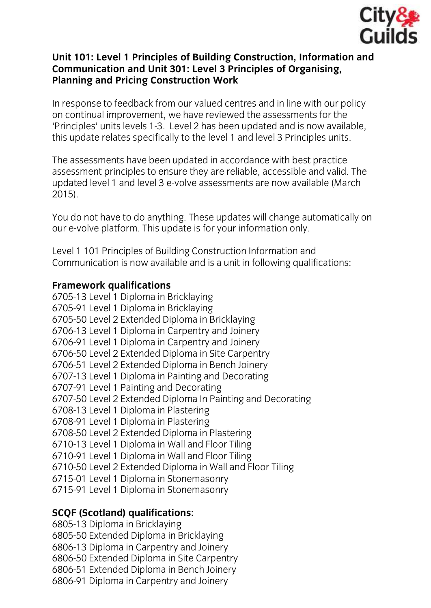

### **Unit 101: Level 1 Principles of Building Construction, Information and Communication and Unit 301: Level 3 Principles of Organising, Planning and Pricing Construction Work**

In response to feedback from our valued centres and in line with our policy on continual improvement, we have reviewed the assessments for the 'Principles' units levels 1-3. Level 2 has been updated and is now available. this update relates specifically to the level 1 and level 3 Principles units. this update relates specifically to the level 1 and level 3 Principles units.

The assessments have been updated in accordance with best practice<br>assessment principles to ensure they are reliable, accessible and valid. The updated level 1 and level 3 e-volve assessments are now available (March  $2015$  $20.2$ 

You do not have to do anything. These updates will change automatically on our e-volve platform. This update is for your information only. our e-volve platform. This update is for your information only.

Level 1 101 Principles of Building Construction Information and Communication is now available and is a unit in following qualifications:

**Framework qualifications** 6705-91 Level 1 Diploma in Bricklaying 6705-50 Level 2 Extended Diploma in Bricklaying 6706-13 Level 1 Diploma in Carpentry and Joinery 6706-91 Level 1 Diploma in Carpentry and Joinery 6706-50 Level 2 Extended Diploma in Site Carpentry 6706-51 Level 2 Extended Diploma in Bench Joinery 6707-13 Level 1 Diploma in Painting and Decorating 6707-91 Level 1 Painting and Decorating 6707-50 Level 2 Extended Diploma In Painting and Decorating 6708-13 Level 1 Diploma in Plastering 6708-91 Level 1 Diploma in Plastering 6708-50 Level 2 Extended Diploma in Plastering 6710-13 Level 1 Diploma in Wall and Floor Tiling 6710-91 Level 1 Diploma in Wall and Floor Tiling 6710-50 Level 2 Extended Diploma in Wall and Floor Tiling 6715-01 Level 1 Diploma in Stonemasonry 6715-01 Level 1 Diploma in Stonemasonry  $\mathbf{r}$ 

## **SCQF (Scotland) qualifications:**

6805-50 Extended Diploma in Bricklaying 6806-13 Diploma in Carpentry and Joinery 6806-50 Extended Diploma in Site Carpentry 6806-51 Extended Diploma in Bench Joinery 6806-91 Diploma in Carpentry and Joinery  $\frac{1}{2}$